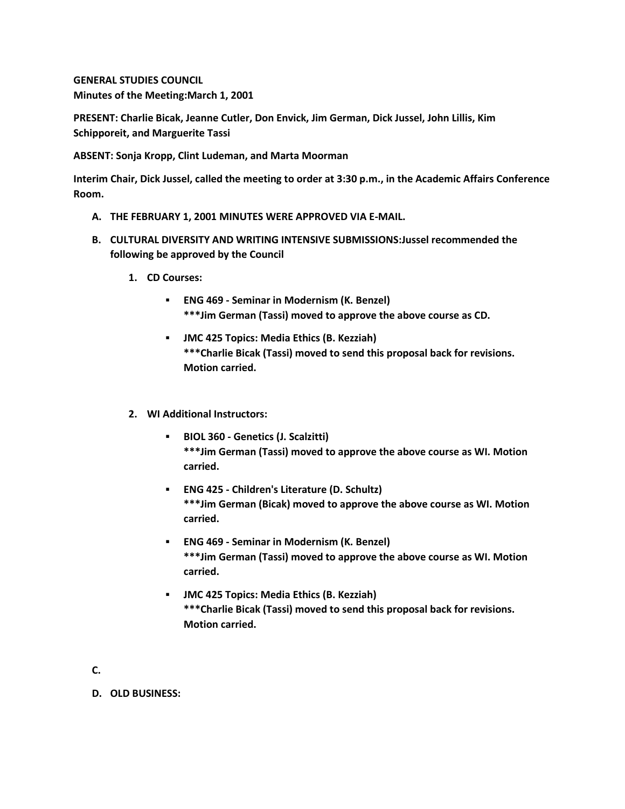**GENERAL STUDIES COUNCIL Minutes of the Meeting:March 1, 2001**

**PRESENT: Charlie Bicak, Jeanne Cutler, Don Envick, Jim German, Dick Jussel, John Lillis, Kim Schipporeit, and Marguerite Tassi**

**ABSENT: Sonja Kropp, Clint Ludeman, and Marta Moorman**

**Interim Chair, Dick Jussel, called the meeting to order at 3:30 p.m., in the Academic Affairs Conference Room.**

- **A. THE FEBRUARY 1, 2001 MINUTES WERE APPROVED VIA E-MAIL.**
- **B. CULTURAL DIVERSITY AND WRITING INTENSIVE SUBMISSIONS:Jussel recommended the following be approved by the Council** 
	- **1. CD Courses:** 
		- **ENG 469 - Seminar in Modernism (K. Benzel) \*\*\*Jim German (Tassi) moved to approve the above course as CD.**
		- **JMC 425 Topics: Media Ethics (B. Kezziah) \*\*\*Charlie Bicak (Tassi) moved to send this proposal back for revisions. Motion carried.**
	- **2. WI Additional Instructors:** 
		- **BIOL 360 - Genetics (J. Scalzitti) \*\*\*Jim German (Tassi) moved to approve the above course as WI. Motion carried.**
		- **ENG 425 - Children's Literature (D. Schultz) \*\*\*Jim German (Bicak) moved to approve the above course as WI. Motion carried.**
		- **ENG 469 - Seminar in Modernism (K. Benzel) \*\*\*Jim German (Tassi) moved to approve the above course as WI. Motion carried.**
		- **JMC 425 Topics: Media Ethics (B. Kezziah) \*\*\*Charlie Bicak (Tassi) moved to send this proposal back for revisions. Motion carried.**
- **C.**

**D. OLD BUSINESS:**